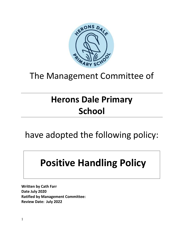

# The Management Committee of

# **Herons Dale Primary School**

have adopted the following policy:

# **Positive Handling Policy**

**Written by Cath Farr Date July 2020 Ratified by Management Committee: Review Date: July 2022**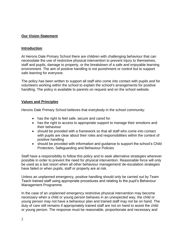# **Our Vision Statement**

#### **Introduction**

At Herons Dale Primary School there are children with challenging behaviour that can necessitate the use of restrictive physical intervention to prevent injury to themselves, staff and pupils, damage to property, or the breakdown of a safe and enjoyable learning environment. The aim of positive handling is not punishment or control but to support safe learning for everyone.

The policy has been written to support all staff who come into contact with pupils and for volunteers working within the school to explain the school's arrangements for positive handling. The policy is available to parents on request and on the school website.

#### **Values and Principles**

Herons Dale Primary School believes that everybody in the school community:

- has the right to feel safe, secure and cared for
- has the right to access to appropriate support to manage their emotions and their behaviour
- should be provided with a framework so that all staff who come into contact with pupils are clear about their roles and responsibilities within the context of positive handling
- should be provided with information and guidance to support the school's Child Protection, Safeguarding and Behaviour Policies

Staff have a responsibility to follow this policy and to seek alternative strategies wherever possible in order to prevent the need for physical intervention. Reasonable force will only be used as a last resort when all other behaviour management/ de-escalation strategies have failed or when pupils, staff or property are at risk.

Unless an unplanned emergency, positive handling should only be carried out by Team Teach trained staff using appropriate procedures and relating to the pupil's Behaviour Management Programme.

In the case of an unplanned emergency restrictive physical intervention may become necessary when a child or young person behaves in an unexpected way, the child or young person may not have a behaviour plan and trained staff may not be on hand. The duty of care still remains if appropriately trained staff are not on hand to assist the child or young person. The response must be reasonable, proportionate and necessary and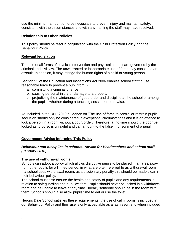use the minimum amount of force necessary to prevent injury and maintain safety, consistent with the circumstances and with any training the staff may have received.

#### **Relationship to Other Policies**

This policy should be read in conjunction with the Child Protection Policy and the Behaviour Policy.

#### **Relevant legislation**

The use of all forms of physical intervention and physical contact are governed by the criminal and civil law. The unwarranted or inappropriate use of force may constitute an assault. In addition, it may infringe the human rights of a child or young person.

Section 93 of the Education and Inspections Act 2006 enables school staff to use reasonable force to prevent a pupil from: -

- a. committing a criminal offence
- b. causing personal injury or damage to a property;
- c. prejudicing the maintenance of good order and discipline at the school or among the pupils, whether during a teaching session or otherwise.

As included in the DFE 2010 guidance on 'The use of force to control or restrain pupils' seclusion should only be considered in exceptional circumstances and it is an offence to lock a person in a room without a court order. Therefore, at no time should the door be locked as to do so is unlawful and can amount to the false imprisonment of a pupil.

# **Government Advice Informing This Policy**

#### *Behaviour and discipline in schools: Advice for Headteachers and school staff (January 2016)*

# **The use of withdrawal rooms:**

Schools can adopt a policy which allows disruptive pupils to be placed in an area away from other pupils for a limited period, in what are often referred to as withdrawal room If a school uses withdrawal rooms as a disciplinary penalty this should be made clear in their behaviour policy.

The school must also ensure the health and safety of pupils and any requirements in relation to safeguarding and pupil welfare. Pupils should never be locked in a withdrawal room and be unable to leave at any time. Ideally someone should be in the room with them. Schools should also allow pupils time to eat or use the toilet.

Herons Dale School satisfies these requirements; the use of calm rooms is included in our Behaviour Policy and their use is only acceptable as a last resort and when included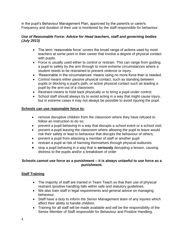in the pupil's Behaviour Management Plan, approved by the parent/s or carer/s. Frequency and duration of their use is monitored by the staff responsible for behaviour.

# *Use of Reasonable Force: Advice for Head teachers, staff and governing bodies (July 2013)*

- The term 'reasonable force' covers the broad range of actions used by most teachers at some point in their career that involve a degree of physical contact with pupils.
- Force is usually used either to control or restrain. This can range from guiding a pupil to safety by the arm through to more extreme circumstances where a student needs to be restrained to prevent violence or injury.
- 'Reasonable in the circumstances' means using no more force than is needed.
- Control means either passive physical contact, such as standing between pupils or blocking a pupil's path, or active physical contact such as leading a pupil by the arm out of a classroom.
- Restraint means to hold back physically or to bring a pupil under control.
- School staff should always try to avoid acting in a way that might cause injury, but in extreme cases it may not always be possible to avoid injuring the pupil.

# **Schools can use reasonable force to:**

- remove disruptive children from the classroom where they have refused to follow an instruction to do so;
- prevent a pupil behaving in a way that disrupts a school event or a school visit;
- prevent a pupil leaving the classroom where allowing the pupil to leave would risk their safety or lead to behaviour that disrupts the behaviour of others;
- prevent a pupil from attacking a member of staff or another pupil
- restrain a pupil at risk of harming themselves through physical outbursts.
- stop a pupil behaving in a way that is **seriously** disrupting a lesson, causing distress to the pupils and/or a breakdown of order

# **Schools cannot use force as a punishment – it is always unlawful to use force as a punishment.**

# **Staff Training**

- The majority of staff are trained in Team Teach so that their use of physical restraint /positive handling falls within safe and statutory guidelines.
- We also train staff in legal requirements and general advice on managing behaviour.
- Staff have a duty to inform the Senior Management team of any injuries which affect their ability to handle children.
- Training for all staff will be made available and will be the responsibility of the Senior Member of Staff responsible for Behaviour and Positive Handling.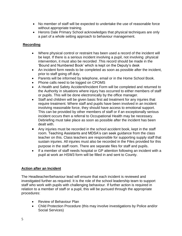- No member of staff will be expected to undertake the use of reasonable force without appropriate training.
- Herons Dale Primary School acknowledges that physical techniques are only a part of a whole setting approach to behaviour management.

# **Recording**

- Where physical control or restraint has been used a record of the incident will be kept. If there is a serious incident involving a pupil, not involving physical intervention, it must also be recorded .This record should be made in the 'Bound and Numbered Book' which is kept on the Deputy's desk
- An incident form needs to be completed as soon as possible after the incident, prior to staff going off duty.
- Parents will be informed by telephone, email or in the Home School Book.
- Phone calls need to be logged on CPOMS
- A Health and Safety Accident/Incident Form will be completed and returned to the Authority in situations where injury has occurred to either members of staff or pupils. This will be done electronically by the office manager.
- Staff and children will be given basic first aid treatment for any injuries that require treatment. Where staff and pupils have been involved in an incident involving reasonable force, they should have access to emotional support. This can be provided by other members of staff or if an exceptionally serious incident occurs then a referral to Occupational Health may be necessary. Debriefing must take place as soon as possible after the incident has been dealt with.
- Any injuries must be recorded in the school accident book, kept in the staff room. Teaching Assistants and MDSA's can seek guidance from the class teacher on this. Class teachers are responsible for supporting supply staff that sustain injuries. All injuries must also be recorded in the Files provided for this purpose in the staff room. There are separate files for staff and pupils.
- If a member of staff needs hospital or GP attention following an incident with a pupil at work an HSW3 form will be filled in and sent to County.

# **Action after an Incident**

The Headteacher/behaviour lead will ensure that each incident is reviewed and investigated further as required. It is the role of the school leadership team to support staff who work with pupils with challenging behaviour. If further action is required in relation to a member of staff or a pupil, this will be pursued through the appropriate procedures:

- Review of Behaviour Plan
- Child Protection Procedure (this may involve investigations by Police and/or Social Services)